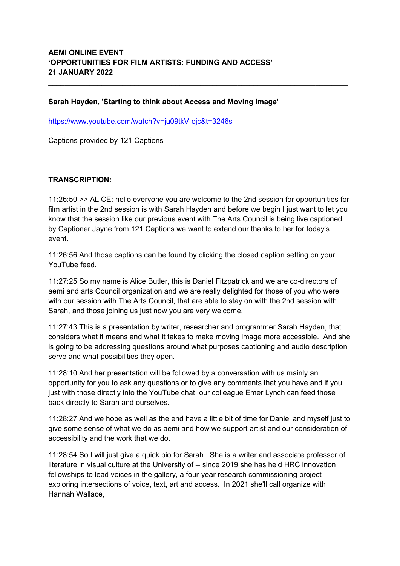# **Sarah Hayden, 'Starting to think about Access and Moving Image'**

<https://www.youtube.com/watch?v=ju09tkV-ojc&t=3246s>

Captions provided by 121 Captions

# **TRANSCRIPTION:**

11:26:50 >> ALICE: hello everyone you are welcome to the 2nd session for opportunities for film artist in the 2nd session is with Sarah Hayden and before we begin I just want to let you know that the session like our previous event with The Arts Council is being live captioned by Captioner Jayne from 121 Captions we want to extend our thanks to her for today's event.

**\_\_\_\_\_\_\_\_\_\_\_\_\_\_\_\_\_\_\_\_\_\_\_\_\_\_\_\_\_\_\_\_\_\_\_\_\_\_\_\_\_\_\_\_\_\_\_\_\_\_\_\_\_\_\_\_\_\_\_\_\_\_\_\_\_\_\_\_\_\_\_\_\_**

11:26:56 And those captions can be found by clicking the closed caption setting on your YouTube feed.

11:27:25 So my name is Alice Butler, this is Daniel Fitzpatrick and we are co-directors of aemi and arts Council organization and we are really delighted for those of you who were with our session with The Arts Council, that are able to stay on with the 2nd session with Sarah, and those joining us just now you are very welcome.

11:27:43 This is a presentation by writer, researcher and programmer Sarah Hayden, that considers what it means and what it takes to make moving image more accessible. And she is going to be addressing questions around what purposes captioning and audio description serve and what possibilities they open.

11:28:10 And her presentation will be followed by a conversation with us mainly an opportunity for you to ask any questions or to give any comments that you have and if you just with those directly into the YouTube chat, our colleague Emer Lynch can feed those back directly to Sarah and ourselves.

11:28:27 And we hope as well as the end have a little bit of time for Daniel and myself just to give some sense of what we do as aemi and how we support artist and our consideration of accessibility and the work that we do.

11:28:54 So I will just give a quick bio for Sarah. She is a writer and associate professor of literature in visual culture at the University of -- since 2019 she has held HRC innovation fellowships to lead voices in the gallery, a four-year research commissioning project exploring intersections of voice, text, art and access. In 2021 she'll call organize with Hannah Wallace,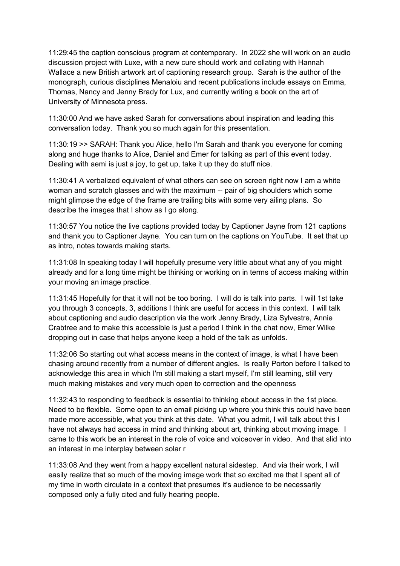11:29:45 the caption conscious program at contemporary. In 2022 she will work on an audio discussion project with Luxe, with a new cure should work and collating with Hannah Wallace a new British artwork art of captioning research group. Sarah is the author of the monograph, curious disciplines Menaloiu and recent publications include essays on Emma, Thomas, Nancy and Jenny Brady for Lux, and currently writing a book on the art of University of Minnesota press.

11:30:00 And we have asked Sarah for conversations about inspiration and leading this conversation today. Thank you so much again for this presentation.

11:30:19 >> SARAH: Thank you Alice, hello I'm Sarah and thank you everyone for coming along and huge thanks to Alice, Daniel and Emer for talking as part of this event today. Dealing with aemi is just a joy, to get up, take it up they do stuff nice.

11:30:41 A verbalized equivalent of what others can see on screen right now I am a white woman and scratch glasses and with the maximum -- pair of big shoulders which some might glimpse the edge of the frame are trailing bits with some very ailing plans. So describe the images that I show as I go along.

11:30:57 You notice the live captions provided today by Captioner Jayne from 121 captions and thank you to Captioner Jayne. You can turn on the captions on YouTube. It set that up as intro, notes towards making starts.

11:31:08 In speaking today I will hopefully presume very little about what any of you might already and for a long time might be thinking or working on in terms of access making within your moving an image practice.

11:31:45 Hopefully for that it will not be too boring. I will do is talk into parts. I will 1st take you through 3 concepts, 3, additions I think are useful for access in this context. I will talk about captioning and audio description via the work Jenny Brady, Liza Sylvestre, Annie Crabtree and to make this accessible is just a period I think in the chat now, Emer Wilke dropping out in case that helps anyone keep a hold of the talk as unfolds.

11:32:06 So starting out what access means in the context of image, is what I have been chasing around recently from a number of different angles. Is really Porton before I talked to acknowledge this area in which I'm still making a start myself, I'm still learning, still very much making mistakes and very much open to correction and the openness

11:32:43 to responding to feedback is essential to thinking about access in the 1st place. Need to be flexible. Some open to an email picking up where you think this could have been made more accessible, what you think at this date. What you admit, I will talk about this I have not always had access in mind and thinking about art, thinking about moving image. I came to this work be an interest in the role of voice and voiceover in video. And that slid into an interest in me interplay between solar r

11:33:08 And they went from a happy excellent natural sidestep. And via their work, I will easily realize that so much of the moving image work that so excited me that I spent all of my time in worth circulate in a context that presumes it's audience to be necessarily composed only a fully cited and fully hearing people.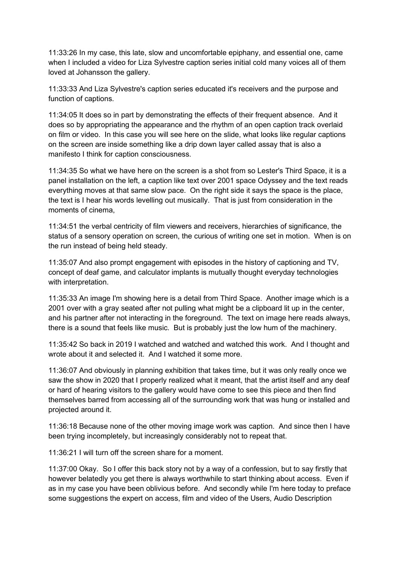11:33:26 In my case, this late, slow and uncomfortable epiphany, and essential one, came when I included a video for Liza Sylvestre caption series initial cold many voices all of them loved at Johansson the gallery.

11:33:33 And Liza Sylvestre's caption series educated it's receivers and the purpose and function of captions.

11:34:05 It does so in part by demonstrating the effects of their frequent absence. And it does so by appropriating the appearance and the rhythm of an open caption track overlaid on film or video. In this case you will see here on the slide, what looks like regular captions on the screen are inside something like a drip down layer called assay that is also a manifesto I think for caption consciousness.

11:34:35 So what we have here on the screen is a shot from so Lester's Third Space, it is a panel installation on the left, a caption like text over 2001 space Odyssey and the text reads everything moves at that same slow pace. On the right side it says the space is the place, the text is I hear his words levelling out musically. That is just from consideration in the moments of cinema,

11:34:51 the verbal centricity of film viewers and receivers, hierarchies of significance, the status of a sensory operation on screen, the curious of writing one set in motion. When is on the run instead of being held steady.

11:35:07 And also prompt engagement with episodes in the history of captioning and TV, concept of deaf game, and calculator implants is mutually thought everyday technologies with interpretation.

11:35:33 An image I'm showing here is a detail from Third Space. Another image which is a 2001 over with a gray seated after not pulling what might be a clipboard lit up in the center, and his partner after not interacting in the foreground. The text on image here reads always, there is a sound that feels like music. But is probably just the low hum of the machinery.

11:35:42 So back in 2019 I watched and watched and watched this work. And I thought and wrote about it and selected it. And I watched it some more.

11:36:07 And obviously in planning exhibition that takes time, but it was only really once we saw the show in 2020 that I properly realized what it meant, that the artist itself and any deaf or hard of hearing visitors to the gallery would have come to see this piece and then find themselves barred from accessing all of the surrounding work that was hung or installed and projected around it.

11:36:18 Because none of the other moving image work was caption. And since then I have been trying incompletely, but increasingly considerably not to repeat that.

11:36:21 I will turn off the screen share for a moment.

11:37:00 Okay. So I offer this back story not by a way of a confession, but to say firstly that however belatedly you get there is always worthwhile to start thinking about access. Even if as in my case you have been oblivious before. And secondly while I'm here today to preface some suggestions the expert on access, film and video of the Users, Audio Description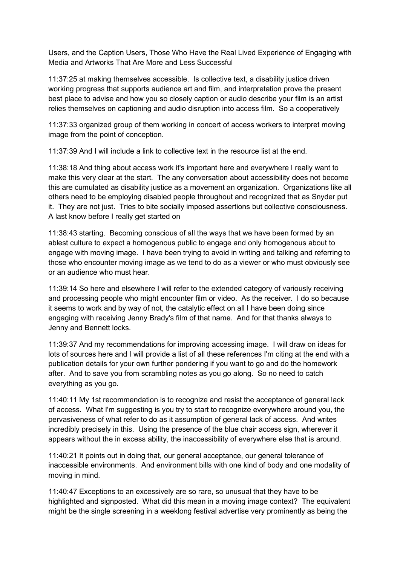Users, and the Caption Users, Those Who Have the Real Lived Experience of Engaging with Media and Artworks That Are More and Less Successful

11:37:25 at making themselves accessible. Is collective text, a disability justice driven working progress that supports audience art and film, and interpretation prove the present best place to advise and how you so closely caption or audio describe your film is an artist relies themselves on captioning and audio disruption into access film. So a cooperatively

11:37:33 organized group of them working in concert of access workers to interpret moving image from the point of conception.

11:37:39 And I will include a link to collective text in the resource list at the end.

11:38:18 And thing about access work it's important here and everywhere I really want to make this very clear at the start. The any conversation about accessibility does not become this are cumulated as disability justice as a movement an organization. Organizations like all others need to be employing disabled people throughout and recognized that as Snyder put it. They are not just. Tries to bite socially imposed assertions but collective consciousness. A last know before I really get started on

11:38:43 starting. Becoming conscious of all the ways that we have been formed by an ablest culture to expect a homogenous public to engage and only homogenous about to engage with moving image. I have been trying to avoid in writing and talking and referring to those who encounter moving image as we tend to do as a viewer or who must obviously see or an audience who must hear.

11:39:14 So here and elsewhere I will refer to the extended category of variously receiving and processing people who might encounter film or video. As the receiver. I do so because it seems to work and by way of not, the catalytic effect on all I have been doing since engaging with receiving Jenny Brady's film of that name. And for that thanks always to Jenny and Bennett locks.

11:39:37 And my recommendations for improving accessing image. I will draw on ideas for lots of sources here and I will provide a list of all these references I'm citing at the end with a publication details for your own further pondering if you want to go and do the homework after. And to save you from scrambling notes as you go along. So no need to catch everything as you go.

11:40:11 My 1st recommendation is to recognize and resist the acceptance of general lack of access. What I'm suggesting is you try to start to recognize everywhere around you, the pervasiveness of what refer to do as it assumption of general lack of access. And writes incredibly precisely in this. Using the presence of the blue chair access sign, wherever it appears without the in excess ability, the inaccessibility of everywhere else that is around.

11:40:21 It points out in doing that, our general acceptance, our general tolerance of inaccessible environments. And environment bills with one kind of body and one modality of moving in mind.

11:40:47 Exceptions to an excessively are so rare, so unusual that they have to be highlighted and signposted. What did this mean in a moving image context? The equivalent might be the single screening in a weeklong festival advertise very prominently as being the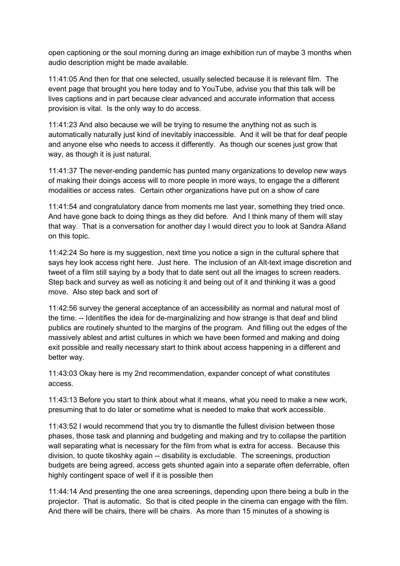open captioning or the soul morning during an image exhibition run of maybe 3 months when audio description might be made available.

11:41:05 And then for that one selected, usually selected because it is relevant film. The event page that brought you here today and to YouTube, advise you that this talk will be lives captions and in part because clear advanced and accurate information that access provision is vital. Is the only way to do access.

11:41:23 And also because we will be trying to resume the anything not as such is automatically naturally just kind of inevitably inaccessible. And it will be that for deaf people and anyone else who needs to access it differently. As though our scenes just grow that way, as though it is just natural.

11:41:37 The never-ending pandemic has punted many organizations to develop new ways of making their doings access will to more people in more ways, to engage the a different modalities or access rates. Certain other organizations have put on a show of care

11:41:54 and congratulatory dance from moments me last year, something they tried once. And have gone back to doing things as they did before. And I think many of them will stay that way. That is a conversation for another day I would direct you to look at Sandra Alland on this topic.

11:42:24 So here is my suggestion, next time you notice a sign in the cultural sphere that says hey look access right here. Just here. The inclusion of an Alt-text image discretion and tweet of a film still saying by a body that to date sent out all the images to screen readers. Step back and survey as well as noticing it and being out of it and thinking it was a good move. Also step back and sort of

11:42:56 survey the general acceptance of an accessibility as normal and natural most of the time. -- Identifies the idea for de-marginalizing and how strange is that deaf and blind publics are routinely shunted to the margins of the program. And filling out the edges of the massively ablest and artist cultures in which we have been formed and making and doing exit possible and really necessary start to think about access happening in a different and better way.

11:43:03 Okay here is my 2nd recommendation, expander concept of what constitutes access.

11:43:13 Before you start to think about what it means, what you need to make a new work, presuming that to do later or sometime what is needed to make that work accessible.

11:43:52 I would recommend that you try to dismantle the fullest division between those phases, those task and planning and budgeting and making and try to collapse the partition wall separating what is necessary for the film from what is extra for access. Because this division, to quote tikoshky again -- disability is excludable. The screenings, production budgets are being agreed, access gets shunted again into a separate often deferrable, often highly contingent space of well if it is possible then

11:44:14 And presenting the one area screenings, depending upon there being a bulb in the projector. That is automatic. So that is cited people in the cinema can engage with the film. And there will be chairs, there will be chairs. As more than 15 minutes of a showing is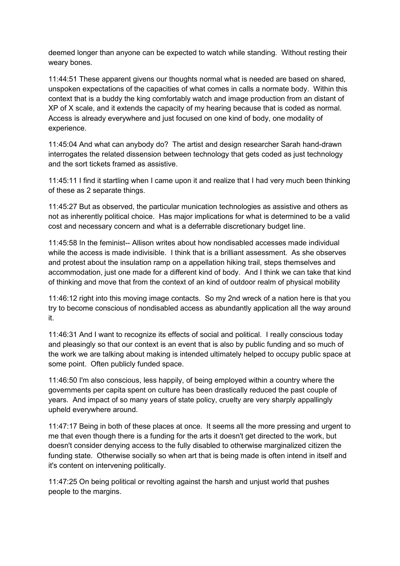deemed longer than anyone can be expected to watch while standing. Without resting their weary bones.

11:44:51 These apparent givens our thoughts normal what is needed are based on shared, unspoken expectations of the capacities of what comes in calls a normate body. Within this context that is a buddy the king comfortably watch and image production from an distant of XP of X scale, and it extends the capacity of my hearing because that is coded as normal. Access is already everywhere and just focused on one kind of body, one modality of experience.

11:45:04 And what can anybody do? The artist and design researcher Sarah hand-drawn interrogates the related dissension between technology that gets coded as just technology and the sort tickets framed as assistive.

11:45:11 I find it startling when I came upon it and realize that I had very much been thinking of these as 2 separate things.

11:45:27 But as observed, the particular munication technologies as assistive and others as not as inherently political choice. Has major implications for what is determined to be a valid cost and necessary concern and what is a deferrable discretionary budget line.

11:45:58 In the feminist-- Allison writes about how nondisabled accesses made individual while the access is made indivisible. I think that is a brilliant assessment. As she observes and protest about the insulation ramp on a appellation hiking trail, steps themselves and accommodation, just one made for a different kind of body. And I think we can take that kind of thinking and move that from the context of an kind of outdoor realm of physical mobility

11:46:12 right into this moving image contacts. So my 2nd wreck of a nation here is that you try to become conscious of nondisabled access as abundantly application all the way around it.

11:46:31 And I want to recognize its effects of social and political. I really conscious today and pleasingly so that our context is an event that is also by public funding and so much of the work we are talking about making is intended ultimately helped to occupy public space at some point. Often publicly funded space.

11:46:50 I'm also conscious, less happily, of being employed within a country where the governments per capita spent on culture has been drastically reduced the past couple of years. And impact of so many years of state policy, cruelty are very sharply appallingly upheld everywhere around.

11:47:17 Being in both of these places at once. It seems all the more pressing and urgent to me that even though there is a funding for the arts it doesn't get directed to the work, but doesn't consider denying access to the fully disabled to otherwise marginalized citizen the funding state. Otherwise socially so when art that is being made is often intend in itself and it's content on intervening politically.

11:47:25 On being political or revolting against the harsh and unjust world that pushes people to the margins.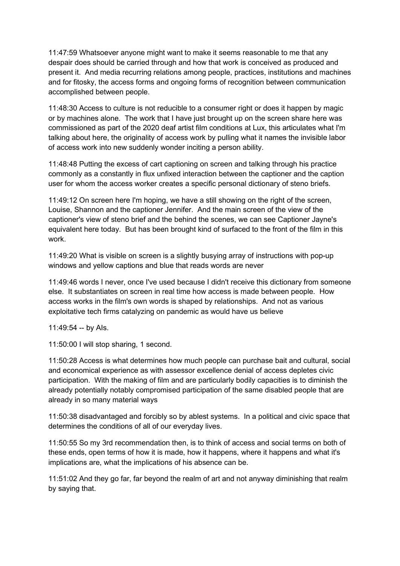11:47:59 Whatsoever anyone might want to make it seems reasonable to me that any despair does should be carried through and how that work is conceived as produced and present it. And media recurring relations among people, practices, institutions and machines and for fitosky, the access forms and ongoing forms of recognition between communication accomplished between people.

11:48:30 Access to culture is not reducible to a consumer right or does it happen by magic or by machines alone. The work that I have just brought up on the screen share here was commissioned as part of the 2020 deaf artist film conditions at Lux, this articulates what I'm talking about here, the originality of access work by pulling what it names the invisible labor of access work into new suddenly wonder inciting a person ability.

11:48:48 Putting the excess of cart captioning on screen and talking through his practice commonly as a constantly in flux unfixed interaction between the captioner and the caption user for whom the access worker creates a specific personal dictionary of steno briefs.

11:49:12 On screen here I'm hoping, we have a still showing on the right of the screen, Louise, Shannon and the captioner Jennifer. And the main screen of the view of the captioner's view of steno brief and the behind the scenes, we can see Captioner Jayne's equivalent here today. But has been brought kind of surfaced to the front of the film in this work.

11:49:20 What is visible on screen is a slightly busying array of instructions with pop-up windows and yellow captions and blue that reads words are never

11:49:46 words I never, once I've used because I didn't receive this dictionary from someone else. It substantiates on screen in real time how access is made between people. How access works in the film's own words is shaped by relationships. And not as various exploitative tech firms catalyzing on pandemic as would have us believe

11:49:54 -- by AIs.

11:50:00 I will stop sharing, 1 second.

11:50:28 Access is what determines how much people can purchase bait and cultural, social and economical experience as with assessor excellence denial of access depletes civic participation. With the making of film and are particularly bodily capacities is to diminish the already potentially notably compromised participation of the same disabled people that are already in so many material ways

11:50:38 disadvantaged and forcibly so by ablest systems. In a political and civic space that determines the conditions of all of our everyday lives.

11:50:55 So my 3rd recommendation then, is to think of access and social terms on both of these ends, open terms of how it is made, how it happens, where it happens and what it's implications are, what the implications of his absence can be.

11:51:02 And they go far, far beyond the realm of art and not anyway diminishing that realm by saying that.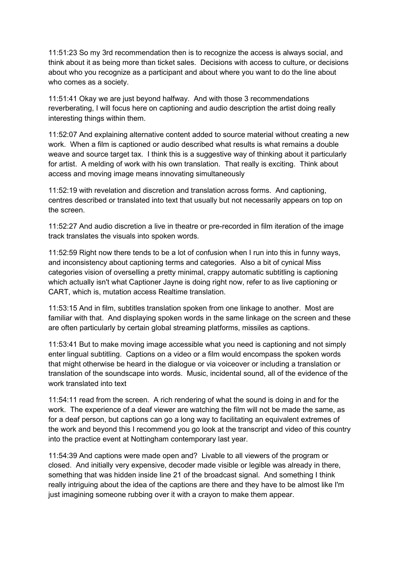11:51:23 So my 3rd recommendation then is to recognize the access is always social, and think about it as being more than ticket sales. Decisions with access to culture, or decisions about who you recognize as a participant and about where you want to do the line about who comes as a society.

11:51:41 Okay we are just beyond halfway. And with those 3 recommendations reverberating, I will focus here on captioning and audio description the artist doing really interesting things within them.

11:52:07 And explaining alternative content added to source material without creating a new work. When a film is captioned or audio described what results is what remains a double weave and source target tax. I think this is a suggestive way of thinking about it particularly for artist. A melding of work with his own translation. That really is exciting. Think about access and moving image means innovating simultaneously

11:52:19 with revelation and discretion and translation across forms. And captioning, centres described or translated into text that usually but not necessarily appears on top on the screen.

11:52:27 And audio discretion a live in theatre or pre-recorded in film iteration of the image track translates the visuals into spoken words.

11:52:59 Right now there tends to be a lot of confusion when I run into this in funny ways, and inconsistency about captioning terms and categories. Also a bit of cynical Miss categories vision of overselling a pretty minimal, crappy automatic subtitling is captioning which actually isn't what Captioner Jayne is doing right now, refer to as live captioning or CART, which is, mutation access Realtime translation.

11:53:15 And in film, subtitles translation spoken from one linkage to another. Most are familiar with that. And displaying spoken words in the same linkage on the screen and these are often particularly by certain global streaming platforms, missiles as captions.

11:53:41 But to make moving image accessible what you need is captioning and not simply enter lingual subtitling. Captions on a video or a film would encompass the spoken words that might otherwise be heard in the dialogue or via voiceover or including a translation or translation of the soundscape into words. Music, incidental sound, all of the evidence of the work translated into text

11:54:11 read from the screen. A rich rendering of what the sound is doing in and for the work. The experience of a deaf viewer are watching the film will not be made the same, as for a deaf person, but captions can go a long way to facilitating an equivalent extremes of the work and beyond this I recommend you go look at the transcript and video of this country into the practice event at Nottingham contemporary last year.

11:54:39 And captions were made open and? Livable to all viewers of the program or closed. And initially very expensive, decoder made visible or legible was already in there, something that was hidden inside line 21 of the broadcast signal. And something I think really intriguing about the idea of the captions are there and they have to be almost like I'm just imagining someone rubbing over it with a crayon to make them appear.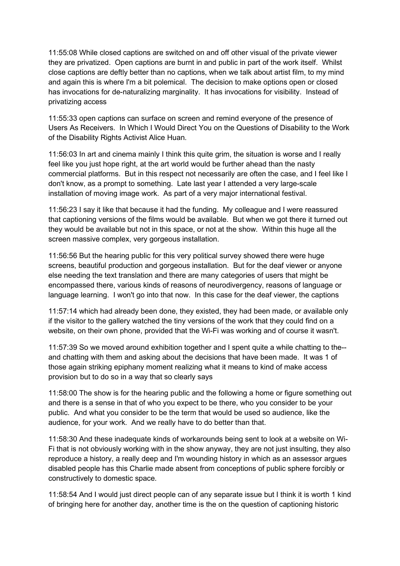11:55:08 While closed captions are switched on and off other visual of the private viewer they are privatized. Open captions are burnt in and public in part of the work itself. Whilst close captions are deftly better than no captions, when we talk about artist film, to my mind and again this is where I'm a bit polemical. The decision to make options open or closed has invocations for de-naturalizing marginality. It has invocations for visibility. Instead of privatizing access

11:55:33 open captions can surface on screen and remind everyone of the presence of Users As Receivers. In Which I Would Direct You on the Questions of Disability to the Work of the Disability Rights Activist Alice Huan.

11:56:03 In art and cinema mainly I think this quite grim, the situation is worse and I really feel like you just hope right, at the art world would be further ahead than the nasty commercial platforms. But in this respect not necessarily are often the case, and I feel like I don't know, as a prompt to something. Late last year I attended a very large-scale installation of moving image work. As part of a very major international festival.

11:56:23 I say it like that because it had the funding. My colleague and I were reassured that captioning versions of the films would be available. But when we got there it turned out they would be available but not in this space, or not at the show. Within this huge all the screen massive complex, very gorgeous installation.

11:56:56 But the hearing public for this very political survey showed there were huge screens, beautiful production and gorgeous installation. But for the deaf viewer or anyone else needing the text translation and there are many categories of users that might be encompassed there, various kinds of reasons of neurodivergency, reasons of language or language learning. I won't go into that now. In this case for the deaf viewer, the captions

11:57:14 which had already been done, they existed, they had been made, or available only if the visitor to the gallery watched the tiny versions of the work that they could find on a website, on their own phone, provided that the Wi-Fi was working and of course it wasn't.

11:57:39 So we moved around exhibition together and I spent quite a while chatting to the- and chatting with them and asking about the decisions that have been made. It was 1 of those again striking epiphany moment realizing what it means to kind of make access provision but to do so in a way that so clearly says

11:58:00 The show is for the hearing public and the following a home or figure something out and there is a sense in that of who you expect to be there, who you consider to be your public. And what you consider to be the term that would be used so audience, like the audience, for your work. And we really have to do better than that.

11:58:30 And these inadequate kinds of workarounds being sent to look at a website on Wi-Fi that is not obviously working with in the show anyway, they are not just insulting, they also reproduce a history, a really deep and I'm wounding history in which as an assessor argues disabled people has this Charlie made absent from conceptions of public sphere forcibly or constructively to domestic space.

11:58:54 And I would just direct people can of any separate issue but I think it is worth 1 kind of bringing here for another day, another time is the on the question of captioning historic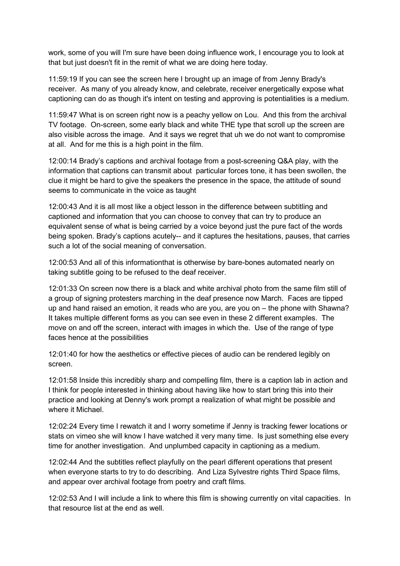work, some of you will I'm sure have been doing influence work, I encourage you to look at that but just doesn't fit in the remit of what we are doing here today.

11:59:19 If you can see the screen here I brought up an image of from Jenny Brady's receiver. As many of you already know, and celebrate, receiver energetically expose what captioning can do as though it's intent on testing and approving is potentialities is a medium.

11:59:47 What is on screen right now is a peachy yellow on Lou. And this from the archival TV footage. On-screen, some early black and white THE type that scroll up the screen are also visible across the image. And it says we regret that uh we do not want to compromise at all. And for me this is a high point in the film.

12:00:14 Brady's captions and archival footage from a post-screening Q&A play, with the information that captions can transmit about particular forces tone, it has been swollen, the clue it might be hard to give the speakers the presence in the space, the attitude of sound seems to communicate in the voice as taught

12:00:43 And it is all most like a object lesson in the difference between subtitling and captioned and information that you can choose to convey that can try to produce an equivalent sense of what is being carried by a voice beyond just the pure fact of the words being spoken. Brady's captions acutely-- and it captures the hesitations, pauses, that carries such a lot of the social meaning of conversation.

12:00:53 And all of this informationthat is otherwise by bare-bones automated nearly on taking subtitle going to be refused to the deaf receiver.

12:01:33 On screen now there is a black and white archival photo from the same film still of a group of signing protesters marching in the deaf presence now March. Faces are tipped up and hand raised an emotion, it reads who are you, are you on – the phone with Shawna? It takes multiple different forms as you can see even in these 2 different examples. The move on and off the screen, interact with images in which the. Use of the range of type faces hence at the possibilities

12:01:40 for how the aesthetics or effective pieces of audio can be rendered legibly on screen.

12:01:58 Inside this incredibly sharp and compelling film, there is a caption lab in action and I think for people interested in thinking about having like how to start bring this into their practice and looking at Denny's work prompt a realization of what might be possible and where it Michael

12:02:24 Every time I rewatch it and I worry sometime if Jenny is tracking fewer locations or stats on vimeo she will know I have watched it very many time. Is just something else every time for another investigation. And unplumbed capacity in captioning as a medium.

12:02:44 And the subtitles reflect playfully on the pearl different operations that present when everyone starts to try to do describing. And Liza Sylvestre rights Third Space films, and appear over archival footage from poetry and craft films.

12:02:53 And I will include a link to where this film is showing currently on vital capacities. In that resource list at the end as well.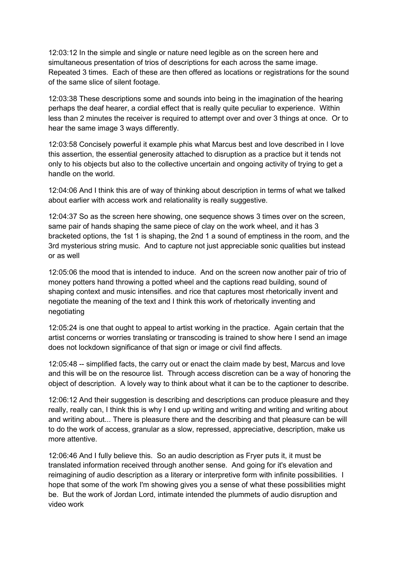12:03:12 In the simple and single or nature need legible as on the screen here and simultaneous presentation of trios of descriptions for each across the same image. Repeated 3 times. Each of these are then offered as locations or registrations for the sound of the same slice of silent footage.

12:03:38 These descriptions some and sounds into being in the imagination of the hearing perhaps the deaf hearer, a cordial effect that is really quite peculiar to experience. Within less than 2 minutes the receiver is required to attempt over and over 3 things at once. Or to hear the same image 3 ways differently.

12:03:58 Concisely powerful it example phis what Marcus best and love described in I love this assertion, the essential generosity attached to disruption as a practice but it tends not only to his objects but also to the collective uncertain and ongoing activity of trying to get a handle on the world.

12:04:06 And I think this are of way of thinking about description in terms of what we talked about earlier with access work and relationality is really suggestive.

12:04:37 So as the screen here showing, one sequence shows 3 times over on the screen, same pair of hands shaping the same piece of clay on the work wheel, and it has 3 bracketed options, the 1st 1 is shaping, the 2nd 1 a sound of emptiness in the room, and the 3rd mysterious string music. And to capture not just appreciable sonic qualities but instead or as well

12:05:06 the mood that is intended to induce. And on the screen now another pair of trio of money potters hand throwing a potted wheel and the captions read building, sound of shaping context and music intensifies. and rice that captures most rhetorically invent and negotiate the meaning of the text and I think this work of rhetorically inventing and negotiating

12:05:24 is one that ought to appeal to artist working in the practice. Again certain that the artist concerns or worries translating or transcoding is trained to show here I send an image does not lockdown significance of that sign or image or civil find affects.

12:05:48 -- simplified facts, the carry out or enact the claim made by best, Marcus and love and this will be on the resource list. Through access discretion can be a way of honoring the object of description. A lovely way to think about what it can be to the captioner to describe.

12:06:12 And their suggestion is describing and descriptions can produce pleasure and they really, really can, I think this is why I end up writing and writing and writing and writing about and writing about... There is pleasure there and the describing and that pleasure can be will to do the work of access, granular as a slow, repressed, appreciative, description, make us more attentive.

12:06:46 And I fully believe this. So an audio description as Fryer puts it, it must be translated information received through another sense. And going for it's elevation and reimagining of audio description as a literary or interpretive form with infinite possibilities. I hope that some of the work I'm showing gives you a sense of what these possibilities might be. But the work of Jordan Lord, intimate intended the plummets of audio disruption and video work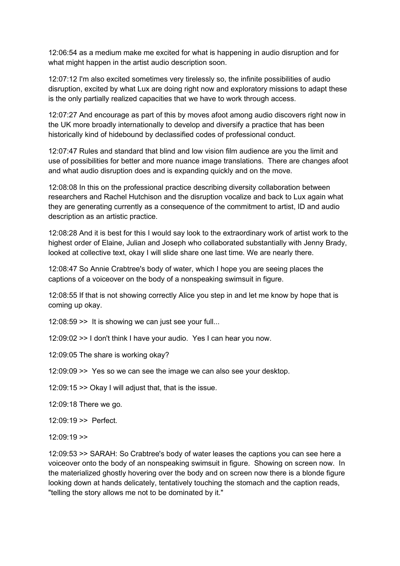12:06:54 as a medium make me excited for what is happening in audio disruption and for what might happen in the artist audio description soon.

12:07:12 I'm also excited sometimes very tirelessly so, the infinite possibilities of audio disruption, excited by what Lux are doing right now and exploratory missions to adapt these is the only partially realized capacities that we have to work through access.

12:07:27 And encourage as part of this by moves afoot among audio discovers right now in the UK more broadly internationally to develop and diversify a practice that has been historically kind of hidebound by declassified codes of professional conduct.

12:07:47 Rules and standard that blind and low vision film audience are you the limit and use of possibilities for better and more nuance image translations. There are changes afoot and what audio disruption does and is expanding quickly and on the move.

12:08:08 In this on the professional practice describing diversity collaboration between researchers and Rachel Hutchison and the disruption vocalize and back to Lux again what they are generating currently as a consequence of the commitment to artist, ID and audio description as an artistic practice.

12:08:28 And it is best for this I would say look to the extraordinary work of artist work to the highest order of Elaine, Julian and Joseph who collaborated substantially with Jenny Brady, looked at collective text, okay I will slide share one last time. We are nearly there.

12:08:47 So Annie Crabtree's body of water, which I hope you are seeing places the captions of a voiceover on the body of a nonspeaking swimsuit in figure.

12:08:55 If that is not showing correctly Alice you step in and let me know by hope that is coming up okay.

12:08:59 >> It is showing we can just see your full...

12:09:02 >> I don't think I have your audio. Yes I can hear you now.

12:09:05 The share is working okay?

12:09:09 >> Yes so we can see the image we can also see your desktop.

12:09:15 >> Okay I will adjust that, that is the issue.

12:09:18 There we go.

12:09:19 >> Perfect.

12:09:19 >>

12:09:53 >> SARAH: So Crabtree's body of water leases the captions you can see here a voiceover onto the body of an nonspeaking swimsuit in figure. Showing on screen now. In the materialized ghostly hovering over the body and on screen now there is a blonde figure looking down at hands delicately, tentatively touching the stomach and the caption reads, "telling the story allows me not to be dominated by it."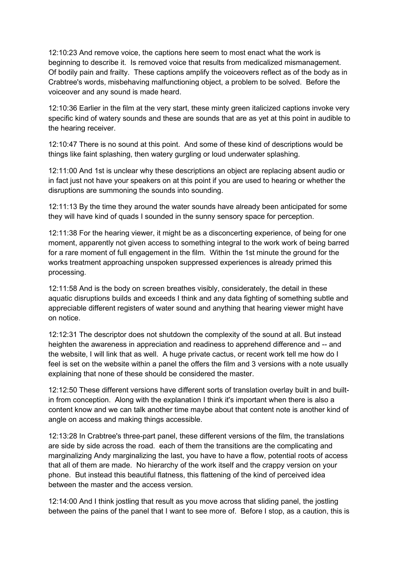12:10:23 And remove voice, the captions here seem to most enact what the work is beginning to describe it. Is removed voice that results from medicalized mismanagement. Of bodily pain and frailty. These captions amplify the voiceovers reflect as of the body as in Crabtree's words, misbehaving malfunctioning object, a problem to be solved. Before the voiceover and any sound is made heard.

12:10:36 Earlier in the film at the very start, these minty green italicized captions invoke very specific kind of watery sounds and these are sounds that are as yet at this point in audible to the hearing receiver.

12:10:47 There is no sound at this point. And some of these kind of descriptions would be things like faint splashing, then watery gurgling or loud underwater splashing.

12:11:00 And 1st is unclear why these descriptions an object are replacing absent audio or in fact just not have your speakers on at this point if you are used to hearing or whether the disruptions are summoning the sounds into sounding.

12:11:13 By the time they around the water sounds have already been anticipated for some they will have kind of quads I sounded in the sunny sensory space for perception.

12:11:38 For the hearing viewer, it might be as a disconcerting experience, of being for one moment, apparently not given access to something integral to the work work of being barred for a rare moment of full engagement in the film. Within the 1st minute the ground for the works treatment approaching unspoken suppressed experiences is already primed this processing.

12:11:58 And is the body on screen breathes visibly, considerately, the detail in these aquatic disruptions builds and exceeds I think and any data fighting of something subtle and appreciable different registers of water sound and anything that hearing viewer might have on notice.

12:12:31 The descriptor does not shutdown the complexity of the sound at all. But instead heighten the awareness in appreciation and readiness to apprehend difference and -- and the website, I will link that as well. A huge private cactus, or recent work tell me how do I feel is set on the website within a panel the offers the film and 3 versions with a note usually explaining that none of these should be considered the master.

12:12:50 These different versions have different sorts of translation overlay built in and builtin from conception. Along with the explanation I think it's important when there is also a content know and we can talk another time maybe about that content note is another kind of angle on access and making things accessible.

12:13:28 In Crabtree's three-part panel, these different versions of the film, the translations are side by side across the road. each of them the transitions are the complicating and marginalizing Andy marginalizing the last, you have to have a flow, potential roots of access that all of them are made. No hierarchy of the work itself and the crappy version on your phone. But instead this beautiful flatness, this flattening of the kind of perceived idea between the master and the access version.

12:14:00 And I think jostling that result as you move across that sliding panel, the jostling between the pains of the panel that I want to see more of. Before I stop, as a caution, this is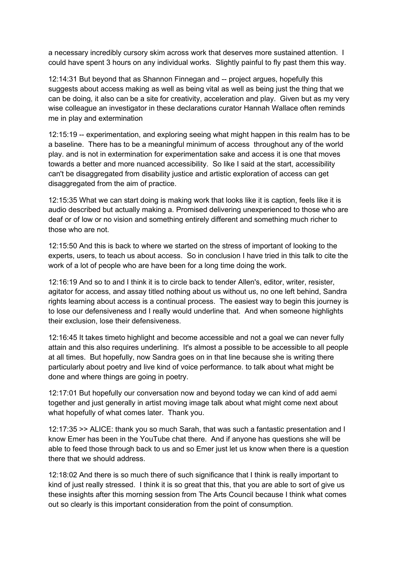a necessary incredibly cursory skim across work that deserves more sustained attention. I could have spent 3 hours on any individual works. Slightly painful to fly past them this way.

12:14:31 But beyond that as Shannon Finnegan and -- project argues, hopefully this suggests about access making as well as being vital as well as being just the thing that we can be doing, it also can be a site for creativity, acceleration and play. Given but as my very wise colleague an investigator in these declarations curator Hannah Wallace often reminds me in play and extermination

12:15:19 -- experimentation, and exploring seeing what might happen in this realm has to be a baseline. There has to be a meaningful minimum of access throughout any of the world play. and is not in extermination for experimentation sake and access it is one that moves towards a better and more nuanced accessibility. So like I said at the start, accessibility can't be disaggregated from disability justice and artistic exploration of access can get disaggregated from the aim of practice.

12:15:35 What we can start doing is making work that looks like it is caption, feels like it is audio described but actually making a. Promised delivering unexperienced to those who are deaf or of low or no vision and something entirely different and something much richer to those who are not.

12:15:50 And this is back to where we started on the stress of important of looking to the experts, users, to teach us about access. So in conclusion I have tried in this talk to cite the work of a lot of people who are have been for a long time doing the work.

12:16:19 And so to and I think it is to circle back to tender Allen's, editor, writer, resister, agitator for access, and assay titled nothing about us without us, no one left behind, Sandra rights learning about access is a continual process. The easiest way to begin this journey is to lose our defensiveness and I really would underline that. And when someone highlights their exclusion, lose their defensiveness.

12:16:45 It takes timeto highlight and become accessible and not a goal we can never fully attain and this also requires underlining. It's almost a possible to be accessible to all people at all times. But hopefully, now Sandra goes on in that line because she is writing there particularly about poetry and live kind of voice performance. to talk about what might be done and where things are going in poetry.

12:17:01 But hopefully our conversation now and beyond today we can kind of add aemi together and just generally in artist moving image talk about what might come next about what hopefully of what comes later. Thank you.

12:17:35 >> ALICE: thank you so much Sarah, that was such a fantastic presentation and I know Emer has been in the YouTube chat there. And if anyone has questions she will be able to feed those through back to us and so Emer just let us know when there is a question there that we should address.

12:18:02 And there is so much there of such significance that I think is really important to kind of just really stressed. I think it is so great that this, that you are able to sort of give us these insights after this morning session from The Arts Council because I think what comes out so clearly is this important consideration from the point of consumption.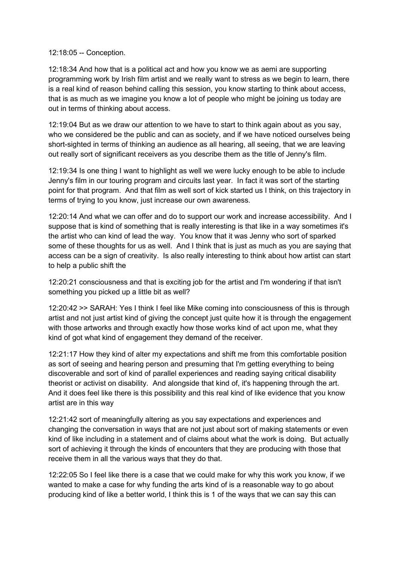## 12:18:05 -- Conception.

12:18:34 And how that is a political act and how you know we as aemi are supporting programming work by Irish film artist and we really want to stress as we begin to learn, there is a real kind of reason behind calling this session, you know starting to think about access, that is as much as we imagine you know a lot of people who might be joining us today are out in terms of thinking about access.

12:19:04 But as we draw our attention to we have to start to think again about as you say, who we considered be the public and can as society, and if we have noticed ourselves being short-sighted in terms of thinking an audience as all hearing, all seeing, that we are leaving out really sort of significant receivers as you describe them as the title of Jenny's film.

12:19:34 Is one thing I want to highlight as well we were lucky enough to be able to include Jenny's film in our touring program and circuits last year. In fact it was sort of the starting point for that program. And that film as well sort of kick started us I think, on this trajectory in terms of trying to you know, just increase our own awareness.

12:20:14 And what we can offer and do to support our work and increase accessibility. And I suppose that is kind of something that is really interesting is that like in a way sometimes it's the artist who can kind of lead the way. You know that it was Jenny who sort of sparked some of these thoughts for us as well. And I think that is just as much as you are saying that access can be a sign of creativity. Is also really interesting to think about how artist can start to help a public shift the

12:20:21 consciousness and that is exciting job for the artist and I'm wondering if that isn't something you picked up a little bit as well?

12:20:42 >> SARAH: Yes I think I feel like Mike coming into consciousness of this is through artist and not just artist kind of giving the concept just quite how it is through the engagement with those artworks and through exactly how those works kind of act upon me, what they kind of got what kind of engagement they demand of the receiver.

12:21:17 How they kind of alter my expectations and shift me from this comfortable position as sort of seeing and hearing person and presuming that I'm getting everything to being discoverable and sort of kind of parallel experiences and reading saying critical disability theorist or activist on disability. And alongside that kind of, it's happening through the art. And it does feel like there is this possibility and this real kind of like evidence that you know artist are in this way

12:21:42 sort of meaningfully altering as you say expectations and experiences and changing the conversation in ways that are not just about sort of making statements or even kind of like including in a statement and of claims about what the work is doing. But actually sort of achieving it through the kinds of encounters that they are producing with those that receive them in all the various ways that they do that.

12:22:05 So I feel like there is a case that we could make for why this work you know, if we wanted to make a case for why funding the arts kind of is a reasonable way to go about producing kind of like a better world, I think this is 1 of the ways that we can say this can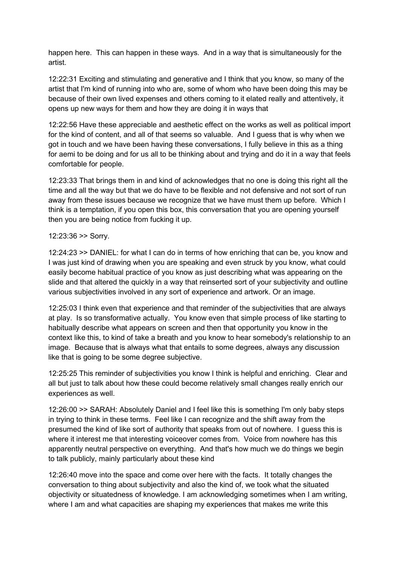happen here. This can happen in these ways. And in a way that is simultaneously for the artist.

12:22:31 Exciting and stimulating and generative and I think that you know, so many of the artist that I'm kind of running into who are, some of whom who have been doing this may be because of their own lived expenses and others coming to it elated really and attentively, it opens up new ways for them and how they are doing it in ways that

12:22:56 Have these appreciable and aesthetic effect on the works as well as political import for the kind of content, and all of that seems so valuable. And I guess that is why when we got in touch and we have been having these conversations, I fully believe in this as a thing for aemi to be doing and for us all to be thinking about and trying and do it in a way that feels comfortable for people.

12:23:33 That brings them in and kind of acknowledges that no one is doing this right all the time and all the way but that we do have to be flexible and not defensive and not sort of run away from these issues because we recognize that we have must them up before. Which I think is a temptation, if you open this box, this conversation that you are opening yourself then you are being notice from fucking it up.

## 12:23:36 >> Sorry.

12:24:23 >> DANIEL: for what I can do in terms of how enriching that can be, you know and I was just kind of drawing when you are speaking and even struck by you know, what could easily become habitual practice of you know as just describing what was appearing on the slide and that altered the quickly in a way that reinserted sort of your subjectivity and outline various subjectivities involved in any sort of experience and artwork. Or an image.

12:25:03 I think even that experience and that reminder of the subjectivities that are always at play. Is so transformative actually. You know even that simple process of like starting to habitually describe what appears on screen and then that opportunity you know in the context like this, to kind of take a breath and you know to hear somebody's relationship to an image. Because that is always what that entails to some degrees, always any discussion like that is going to be some degree subjective.

12:25:25 This reminder of subjectivities you know I think is helpful and enriching. Clear and all but just to talk about how these could become relatively small changes really enrich our experiences as well.

12:26:00 >> SARAH: Absolutely Daniel and I feel like this is something I'm only baby steps in trying to think in these terms. Feel like I can recognize and the shift away from the presumed the kind of like sort of authority that speaks from out of nowhere. I guess this is where it interest me that interesting voiceover comes from. Voice from nowhere has this apparently neutral perspective on everything. And that's how much we do things we begin to talk publicly, mainly particularly about these kind

12:26:40 move into the space and come over here with the facts. It totally changes the conversation to thing about subjectivity and also the kind of, we took what the situated objectivity or situatedness of knowledge. I am acknowledging sometimes when I am writing, where I am and what capacities are shaping my experiences that makes me write this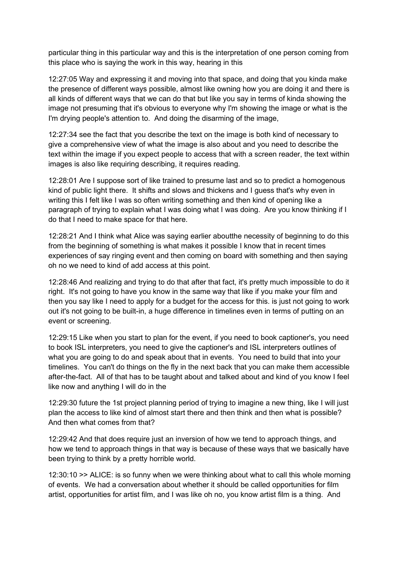particular thing in this particular way and this is the interpretation of one person coming from this place who is saying the work in this way, hearing in this

12:27:05 Way and expressing it and moving into that space, and doing that you kinda make the presence of different ways possible, almost like owning how you are doing it and there is all kinds of different ways that we can do that but like you say in terms of kinda showing the image not presuming that it's obvious to everyone why I'm showing the image or what is the I'm drying people's attention to. And doing the disarming of the image,

12:27:34 see the fact that you describe the text on the image is both kind of necessary to give a comprehensive view of what the image is also about and you need to describe the text within the image if you expect people to access that with a screen reader, the text within images is also like requiring describing, it requires reading.

12:28:01 Are I suppose sort of like trained to presume last and so to predict a homogenous kind of public light there. It shifts and slows and thickens and I guess that's why even in writing this I felt like I was so often writing something and then kind of opening like a paragraph of trying to explain what I was doing what I was doing. Are you know thinking if I do that I need to make space for that here.

12:28:21 And I think what Alice was saying earlier aboutthe necessity of beginning to do this from the beginning of something is what makes it possible I know that in recent times experiences of say ringing event and then coming on board with something and then saying oh no we need to kind of add access at this point.

12:28:46 And realizing and trying to do that after that fact, it's pretty much impossible to do it right. It's not going to have you know in the same way that like if you make your film and then you say like I need to apply for a budget for the access for this. is just not going to work out it's not going to be built-in, a huge difference in timelines even in terms of putting on an event or screening.

12:29:15 Like when you start to plan for the event, if you need to book captioner's, you need to book ISL interpreters, you need to give the captioner's and ISL interpreters outlines of what you are going to do and speak about that in events. You need to build that into your timelines. You can't do things on the fly in the next back that you can make them accessible after-the-fact. All of that has to be taught about and talked about and kind of you know I feel like now and anything I will do in the

12:29:30 future the 1st project planning period of trying to imagine a new thing, like I will just plan the access to like kind of almost start there and then think and then what is possible? And then what comes from that?

12:29:42 And that does require just an inversion of how we tend to approach things, and how we tend to approach things in that way is because of these ways that we basically have been trying to think by a pretty horrible world.

12:30:10 >> ALICE: is so funny when we were thinking about what to call this whole morning of events. We had a conversation about whether it should be called opportunities for film artist, opportunities for artist film, and I was like oh no, you know artist film is a thing. And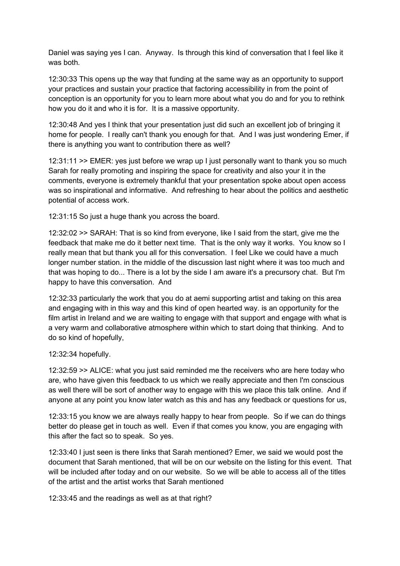Daniel was saying yes I can. Anyway. Is through this kind of conversation that I feel like it was both.

12:30:33 This opens up the way that funding at the same way as an opportunity to support your practices and sustain your practice that factoring accessibility in from the point of conception is an opportunity for you to learn more about what you do and for you to rethink how you do it and who it is for. It is a massive opportunity.

12:30:48 And yes I think that your presentation just did such an excellent job of bringing it home for people. I really can't thank you enough for that. And I was just wondering Emer, if there is anything you want to contribution there as well?

12:31:11 >> EMER: yes just before we wrap up I just personally want to thank you so much Sarah for really promoting and inspiring the space for creativity and also your it in the comments, everyone is extremely thankful that your presentation spoke about open access was so inspirational and informative. And refreshing to hear about the politics and aesthetic potential of access work.

12:31:15 So just a huge thank you across the board.

12:32:02 >> SARAH: That is so kind from everyone, like I said from the start, give me the feedback that make me do it better next time. That is the only way it works. You know so I really mean that but thank you all for this conversation. I feel Like we could have a much longer number station. in the middle of the discussion last night where it was too much and that was hoping to do... There is a lot by the side I am aware it's a precursory chat. But I'm happy to have this conversation. And

12:32:33 particularly the work that you do at aemi supporting artist and taking on this area and engaging with in this way and this kind of open hearted way. is an opportunity for the film artist in Ireland and we are waiting to engage with that support and engage with what is a very warm and collaborative atmosphere within which to start doing that thinking. And to do so kind of hopefully,

## 12:32:34 hopefully.

12:32:59 >> ALICE: what you just said reminded me the receivers who are here today who are, who have given this feedback to us which we really appreciate and then I'm conscious as well there will be sort of another way to engage with this we place this talk online. And if anyone at any point you know later watch as this and has any feedback or questions for us,

12:33:15 you know we are always really happy to hear from people. So if we can do things better do please get in touch as well. Even if that comes you know, you are engaging with this after the fact so to speak. So yes.

12:33:40 I just seen is there links that Sarah mentioned? Emer, we said we would post the document that Sarah mentioned, that will be on our website on the listing for this event. That will be included after today and on our website. So we will be able to access all of the titles of the artist and the artist works that Sarah mentioned

12:33:45 and the readings as well as at that right?